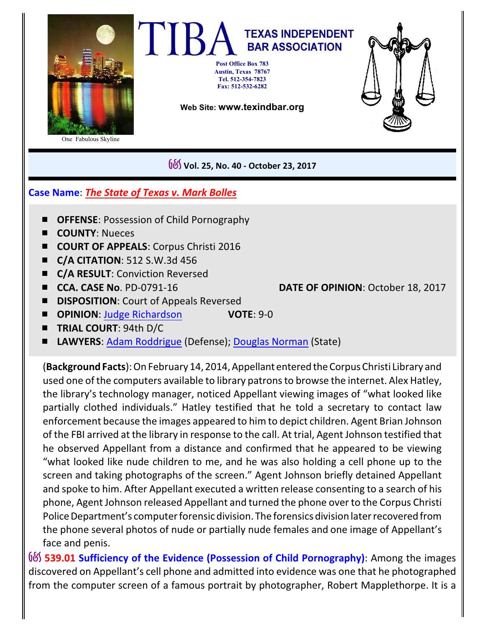

One Fabulous Skyline

## **TEXAS INDEPENDENT BAR ASSOCIATION Post Office Box 783 Austin, Texas 78767 Tel. 512-354-7823 Fax: 512-532-6282**

**Web Site: www.texindbar.org**



G&S **Vol. 25, No. 40 - October 23, 2017**

## **Case Name**: *The State of Texas v. Mark Bolles*

- **OFFENSE: Possession of Child Pornography**
- **E COUNTY:** Nueces
- **E COURT OF APPEALS:** Corpus Christi 2016
- # **C/A CITATION**: 512 S.W.3d 456
- **C/A RESULT**: Conviction Reversed
- 

# **CCA. CASE No**. PD-0791-16 **DATE OF OPINION**: October 18, 2017

- **E DISPOSITION:** Court of Appeals Reversed
- # **OPINION**: [Judge Richardson](http://search.txcourts.gov/SearchMedia.aspx?MediaVersionID=35afbd1f-1345-44d0-a8e4-3ce8a75a0d8a&coa=coscca&DT=OPINION&MediaID=44c4047a-466f-4f83-a1b9-2d72f4216d4a) **VOTE**: 9-0
- **TRIAL COURT: 94th D/C**
- LAWYERS: [Adam Roddrigue](https://www.texasbar.com/AM/Template.cfm?Section=Find_A_Lawyer&template=/Customsource/MemberDirectory/MemberDirectoryDetail.cfm&ContactID=209707) (Defense); [Douglas Norman](https://www.texasbar.com/AM/Template.cfm?Section=Find_A_Lawyer&template=/Customsource/MemberDirectory/MemberDirectoryDetail.cfm&ContactID=181136) (State)

(**Background Facts**): On February 14, 2014, AppellantenteredtheCorpus Christi Library and used one of the computers available to library patrons to browse the internet. Alex Hatley, the library's technology manager, noticed Appellant viewing images of "what looked like partially clothed individuals." Hatley testified that he told a secretary to contact law enforcement because the images appeared to him to depict children. Agent Brian Johnson of the FBI arrived at the library in response to the call. At trial, Agent Johnson testified that he observed Appellant from a distance and confirmed that he appeared to be viewing "what looked like nude children to me, and he was also holding a cell phone up to the screen and taking photographs of the screen." Agent Johnson briefly detained Appellant and spoke to him. After Appellant executed a written release consenting to a search of his phone, Agent Johnson released Appellant and turned the phone over to the Corpus Christi Police Department's computer forensic division. The forensics division later recovered from the phone several photos of nude or partially nude females and one image of Appellant's face and penis.

**G&S** 539.01 Sufficiency of the Evidence (Possession of Child Pornography): Among the images discovered on Appellant's cell phone and admitted into evidence was one that he photographed from the computer screen of a famous portrait by photographer, Robert Mapplethorpe. It is a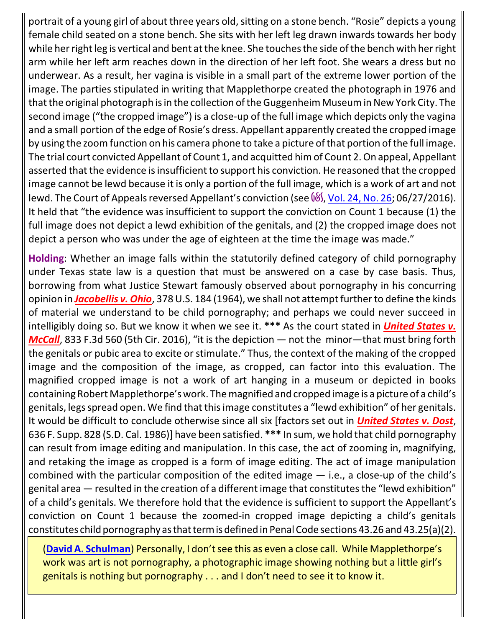portrait of a young girl of about three years old, sitting on a stone bench. "Rosie" depicts a young female child seated on a stone bench. She sits with her left leg drawn inwards towards her body while her right leg is vertical and bent at the knee. She touches the side of the bench with her right arm while her left arm reaches down in the direction of her left foot. She wears a dress but no underwear. As a result, her vagina is visible in a small part of the extreme lower portion of the image. The parties stipulated in writing that Mapplethorpe created the photograph in 1976 and that the original photograph is in the collection of the Guggenheim Museum in New York City. The second image ("the cropped image") is a close-up of the full image which depicts only the vagina and a small portion of the edge of Rosie's dress. Appellant apparently created the cropped image by using the zoom function on his camera phone to take a picture of that portion of the full image. The trial court convicted Appellant of Count 1, and acquitted him of Count 2. On appeal, Appellant asserted that the evidence is insufficient to support his conviction. He reasoned that the cropped image cannot be lewd because it is only a portion of the full image, which is a work of art and not lewd. The Court of Appeals reversed Appellant's conviction (see  $\frac{6}{5}$ , [Vol. 24, No. 26](http://www.texindbar.org/members/casesummaries/16-0627-15.pdf); 06/27/2016). It held that "the evidence was insufficient to support the conviction on Count 1 because (1) the full image does not depict a lewd exhibition of the genitals, and (2) the cropped image does not depict a person who was under the age of eighteen at the time the image was made."

**Holding**: Whether an image falls within the statutorily defined category of child pornography under Texas state law is a question that must be answered on a case by case basis. Thus, borrowing from what Justice Stewart famously observed about pornography in his concurring opinion in *Jacobellis v. Ohio*, 378 U.S. 184 (1964), we shall not attempt further to define the kinds of material we understand to be child pornography; and perhaps we could never succeed in intelligibly doing so. But we know it when we see it. **\*\*\*** As the court stated in *United States v. McCall*, 833 F.3d 560 (5th Cir. 2016), "it is the depiction — not the minor—that must bring forth the genitals or pubic area to excite or stimulate." Thus, the context of the making of the cropped image and the composition of the image, as cropped, can factor into this evaluation. The magnified cropped image is not a work of art hanging in a museum or depicted in books containing Robert Mapplethorpe's work. The magnified and cropped image is a picture of a child's genitals, legs spread open. We find that this image constitutes a "lewd exhibition" of her genitals. It would be difficult to conclude otherwise since all six [factors set out in *United States v. Dost*, 636 F. Supp. 828 (S.D. Cal. 1986)] have been satisfied. **\*\*\*** In sum, we hold that child pornography can result from image editing and manipulation. In this case, the act of zooming in, magnifying, and retaking the image as cropped is a form of image editing. The act of image manipulation combined with the particular composition of the edited image  $-$  i.e., a close-up of the child's genital area — resulted in the creation of a different image that constitutes the "lewd exhibition" of a child's genitals. We therefore hold that the evidence is sufficient to support the Appellant's conviction on Count 1 because the zoomed-in cropped image depicting a child's genitals constitutes child pornography as that term is defined in Penal Code sections 43.26 and 43.25(a)(2).

(**[David A. Schulman](http://www.texindbar.org/david_schulman.php)**) Personally, I don't see this as even a close call. While Mapplethorpe's work was art is not pornography, a photographic image showing nothing but a little girl's genitals is nothing but pornography . . . and I don't need to see it to know it.